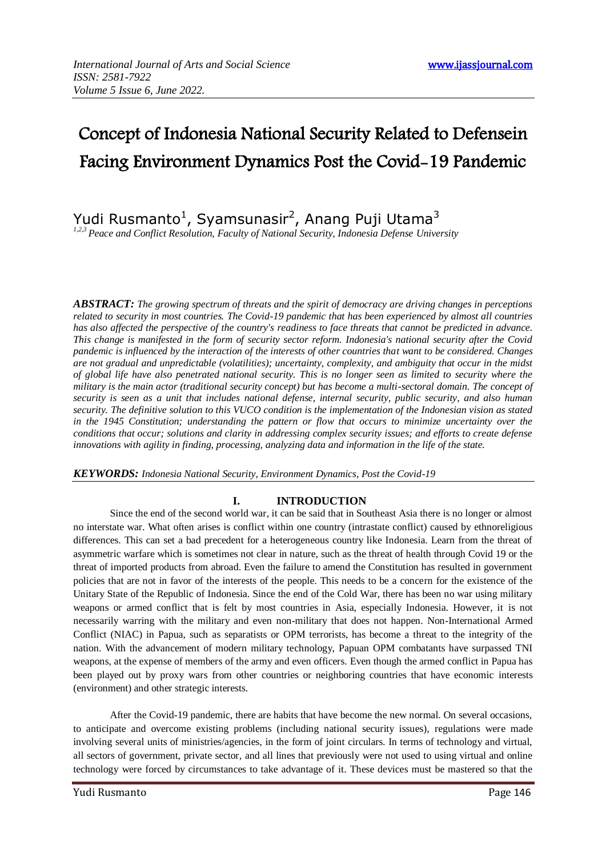# Concept of Indonesia National Security Related to Defensein Facing Environment Dynamics Post the Covid-19 Pandemic

Yudi Rusmanto<sup>1</sup>, Syamsunasir<sup>2</sup>, Anang Puji Utama<sup>3</sup>

*1,2,3 Peace and Conflict Resolution, Faculty of National Security, Indonesia Defense University*

*ABSTRACT: The growing spectrum of threats and the spirit of democracy are driving changes in perceptions related to security in most countries. The Covid-19 pandemic that has been experienced by almost all countries has also affected the perspective of the country's readiness to face threats that cannot be predicted in advance. This change is manifested in the form of security sector reform. Indonesia's national security after the Covid pandemic is influenced by the interaction of the interests of other countries that want to be considered. Changes are not gradual and unpredictable (volatilities); uncertainty, complexity, and ambiguity that occur in the midst of global life have also penetrated national security. This is no longer seen as limited to security where the military is the main actor (traditional security concept) but has become a multi-sectoral domain. The concept of security is seen as a unit that includes national defense, internal security, public security, and also human security. The definitive solution to this VUCO condition is the implementation of the Indonesian vision as stated in the 1945 Constitution; understanding the pattern or flow that occurs to minimize uncertainty over the conditions that occur; solutions and clarity in addressing complex security issues; and efforts to create defense innovations with agility in finding, processing, analyzing data and information in the life of the state.* 

*KEYWORDS: Indonesia National Security, Environment Dynamics, Post the Covid-19*

## **I. INTRODUCTION**

Since the end of the second world war, it can be said that in Southeast Asia there is no longer or almost no interstate war. What often arises is conflict within one country (intrastate conflict) caused by ethnoreligious differences. This can set a bad precedent for a heterogeneous country like Indonesia. Learn from the threat of asymmetric warfare which is sometimes not clear in nature, such as the threat of health through Covid 19 or the threat of imported products from abroad. Even the failure to amend the Constitution has resulted in government policies that are not in favor of the interests of the people. This needs to be a concern for the existence of the Unitary State of the Republic of Indonesia. Since the end of the Cold War, there has been no war using military weapons or armed conflict that is felt by most countries in Asia, especially Indonesia. However, it is not necessarily warring with the military and even non-military that does not happen. Non-International Armed Conflict (NIAC) in Papua, such as separatists or OPM terrorists, has become a threat to the integrity of the nation. With the advancement of modern military technology, Papuan OPM combatants have surpassed TNI weapons, at the expense of members of the army and even officers. Even though the armed conflict in Papua has been played out by proxy wars from other countries or neighboring countries that have economic interests (environment) and other strategic interests.

After the Covid-19 pandemic, there are habits that have become the new normal. On several occasions, to anticipate and overcome existing problems (including national security issues), regulations were made involving several units of ministries/agencies, in the form of joint circulars. In terms of technology and virtual, all sectors of government, private sector, and all lines that previously were not used to using virtual and online technology were forced by circumstances to take advantage of it. These devices must be mastered so that the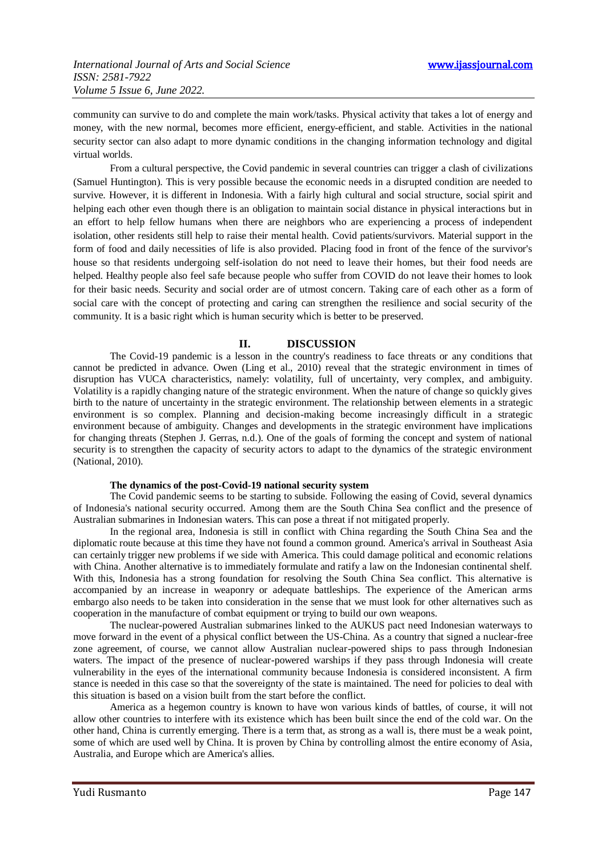community can survive to do and complete the main work/tasks. Physical activity that takes a lot of energy and money, with the new normal, becomes more efficient, energy-efficient, and stable. Activities in the national security sector can also adapt to more dynamic conditions in the changing information technology and digital virtual worlds.

From a cultural perspective, the Covid pandemic in several countries can trigger a clash of civilizations (Samuel Huntington). This is very possible because the economic needs in a disrupted condition are needed to survive. However, it is different in Indonesia. With a fairly high cultural and social structure, social spirit and helping each other even though there is an obligation to maintain social distance in physical interactions but in an effort to help fellow humans when there are neighbors who are experiencing a process of independent isolation, other residents still help to raise their mental health. Covid patients/survivors. Material support in the form of food and daily necessities of life is also provided. Placing food in front of the fence of the survivor's house so that residents undergoing self-isolation do not need to leave their homes, but their food needs are helped. Healthy people also feel safe because people who suffer from COVID do not leave their homes to look for their basic needs. Security and social order are of utmost concern. Taking care of each other as a form of social care with the concept of protecting and caring can strengthen the resilience and social security of the community. It is a basic right which is human security which is better to be preserved.

## **II. DISCUSSION**

The Covid-19 pandemic is a lesson in the country's readiness to face threats or any conditions that cannot be predicted in advance. Owen (Ling et al., 2010) reveal that the strategic environment in times of disruption has VUCA characteristics, namely: volatility, full of uncertainty, very complex, and ambiguity. Volatility is a rapidly changing nature of the strategic environment. When the nature of change so quickly gives birth to the nature of uncertainty in the strategic environment. The relationship between elements in a strategic environment is so complex. Planning and decision-making become increasingly difficult in a strategic environment because of ambiguity. Changes and developments in the strategic environment have implications for changing threats (Stephen J. Gerras, n.d.). One of the goals of forming the concept and system of national security is to strengthen the capacity of security actors to adapt to the dynamics of the strategic environment (National, 2010).

### **The dynamics of the post-Covid-19 national security system**

The Covid pandemic seems to be starting to subside. Following the easing of Covid, several dynamics of Indonesia's national security occurred. Among them are the South China Sea conflict and the presence of Australian submarines in Indonesian waters. This can pose a threat if not mitigated properly.

In the regional area, Indonesia is still in conflict with China regarding the South China Sea and the diplomatic route because at this time they have not found a common ground. America's arrival in Southeast Asia can certainly trigger new problems if we side with America. This could damage political and economic relations with China. Another alternative is to immediately formulate and ratify a law on the Indonesian continental shelf. With this, Indonesia has a strong foundation for resolving the South China Sea conflict. This alternative is accompanied by an increase in weaponry or adequate battleships. The experience of the American arms embargo also needs to be taken into consideration in the sense that we must look for other alternatives such as cooperation in the manufacture of combat equipment or trying to build our own weapons.

The nuclear-powered Australian submarines linked to the AUKUS pact need Indonesian waterways to move forward in the event of a physical conflict between the US-China. As a country that signed a nuclear-free zone agreement, of course, we cannot allow Australian nuclear-powered ships to pass through Indonesian waters. The impact of the presence of nuclear-powered warships if they pass through Indonesia will create vulnerability in the eyes of the international community because Indonesia is considered inconsistent. A firm stance is needed in this case so that the sovereignty of the state is maintained. The need for policies to deal with this situation is based on a vision built from the start before the conflict.

America as a hegemon country is known to have won various kinds of battles, of course, it will not allow other countries to interfere with its existence which has been built since the end of the cold war. On the other hand, China is currently emerging. There is a term that, as strong as a wall is, there must be a weak point, some of which are used well by China. It is proven by China by controlling almost the entire economy of Asia, Australia, and Europe which are America's allies.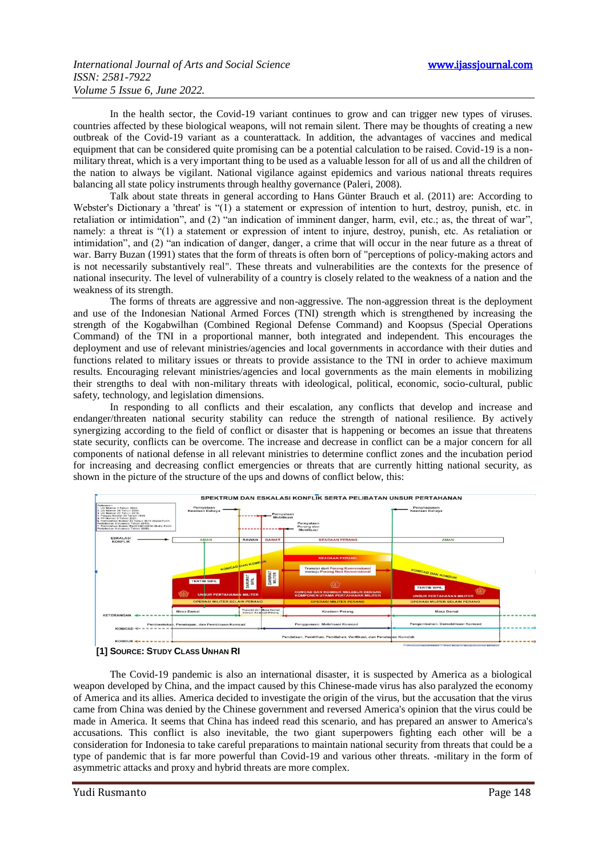In the health sector, the Covid-19 variant continues to grow and can trigger new types of viruses. countries affected by these biological weapons, will not remain silent. There may be thoughts of creating a new outbreak of the Covid-19 variant as a counterattack. In addition, the advantages of vaccines and medical equipment that can be considered quite promising can be a potential calculation to be raised. Covid-19 is a nonmilitary threat, which is a very important thing to be used as a valuable lesson for all of us and all the children of the nation to always be vigilant. National vigilance against epidemics and various national threats requires balancing all state policy instruments through healthy governance (Paleri, 2008).

Talk about state threats in general according to Hans Günter Brauch et al. (2011) are: According to Webster's Dictionary a 'threat' is "(1) a statement or expression of intention to hurt, destroy, punish, etc. in retaliation or intimidation", and (2) "an indication of imminent danger, harm, evil, etc.; as, the threat of war", namely: a threat is "(1) a statement or expression of intent to injure, destroy, punish, etc. As retaliation or intimidation", and (2) "an indication of danger, danger, a crime that will occur in the near future as a threat of war. Barry Buzan (1991) states that the form of threats is often born of "perceptions of policy-making actors and is not necessarily substantively real". These threats and vulnerabilities are the contexts for the presence of national insecurity. The level of vulnerability of a country is closely related to the weakness of a nation and the weakness of its strength.

The forms of threats are aggressive and non-aggressive. The non-aggression threat is the deployment and use of the Indonesian National Armed Forces (TNI) strength which is strengthened by increasing the strength of the Kogabwilhan (Combined Regional Defense Command) and Koopsus (Special Operations Command) of the TNI in a proportional manner, both integrated and independent. This encourages the deployment and use of relevant ministries/agencies and local governments in accordance with their duties and functions related to military issues or threats to provide assistance to the TNI in order to achieve maximum results. Encouraging relevant ministries/agencies and local governments as the main elements in mobilizing their strengths to deal with non-military threats with ideological, political, economic, socio-cultural, public safety, technology, and legislation dimensions.

In responding to all conflicts and their escalation, any conflicts that develop and increase and endanger/threaten national security stability can reduce the strength of national resilience. By actively synergizing according to the field of conflict or disaster that is happening or becomes an issue that threatens state security, conflicts can be overcome. The increase and decrease in conflict can be a major concern for all components of national defense in all relevant ministries to determine conflict zones and the incubation period for increasing and decreasing conflict emergencies or threats that are currently hitting national security, as shown in the picture of the structure of the ups and downs of conflict below, this:





The Covid-19 pandemic is also an international disaster, it is suspected by America as a biological weapon developed by China, and the impact caused by this Chinese-made virus has also paralyzed the economy of America and its allies. America decided to investigate the origin of the virus, but the accusation that the virus came from China was denied by the Chinese government and reversed America's opinion that the virus could be made in America. It seems that China has indeed read this scenario, and has prepared an answer to America's accusations. This conflict is also inevitable, the two giant superpowers fighting each other will be a consideration for Indonesia to take careful preparations to maintain national security from threats that could be a type of pandemic that is far more powerful than Covid-19 and various other threats. -military in the form of asymmetric attacks and proxy and hybrid threats are more complex.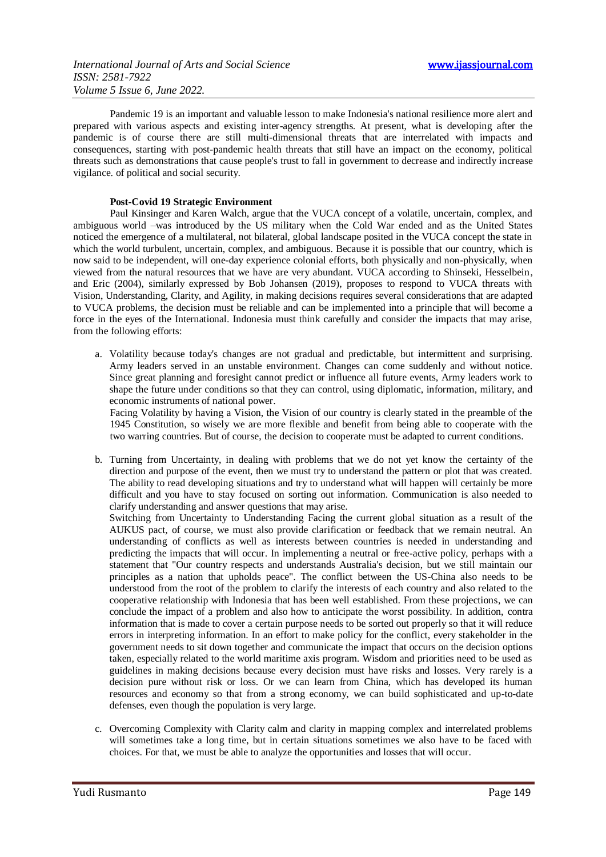Pandemic 19 is an important and valuable lesson to make Indonesia's national resilience more alert and prepared with various aspects and existing inter-agency strengths. At present, what is developing after the pandemic is of course there are still multi-dimensional threats that are interrelated with impacts and consequences, starting with post-pandemic health threats that still have an impact on the economy, political threats such as demonstrations that cause people's trust to fall in government to decrease and indirectly increase vigilance. of political and social security.

#### **Post-Covid 19 Strategic Environment**

Paul Kinsinger and Karen Walch, argue that the VUCA concept of a volatile, uncertain, complex, and ambiguous world –was introduced by the US military when the Cold War ended and as the United States noticed the emergence of a multilateral, not bilateral, global landscape posited in the VUCA concept the state in which the world turbulent, uncertain, complex, and ambiguous. Because it is possible that our country, which is now said to be independent, will one-day experience colonial efforts, both physically and non-physically, when viewed from the natural resources that we have are very abundant. VUCA according to Shinseki, Hesselbein, and Eric (2004), similarly expressed by Bob Johansen (2019), proposes to respond to VUCA threats with Vision, Understanding, Clarity, and Agility, in making decisions requires several considerations that are adapted to VUCA problems, the decision must be reliable and can be implemented into a principle that will become a force in the eyes of the International. Indonesia must think carefully and consider the impacts that may arise, from the following efforts:

a. Volatility because today's changes are not gradual and predictable, but intermittent and surprising. Army leaders served in an unstable environment. Changes can come suddenly and without notice. Since great planning and foresight cannot predict or influence all future events, Army leaders work to shape the future under conditions so that they can control, using diplomatic, information, military, and economic instruments of national power.

Facing Volatility by having a Vision, the Vision of our country is clearly stated in the preamble of the 1945 Constitution, so wisely we are more flexible and benefit from being able to cooperate with the two warring countries. But of course, the decision to cooperate must be adapted to current conditions.

b. Turning from Uncertainty, in dealing with problems that we do not yet know the certainty of the direction and purpose of the event, then we must try to understand the pattern or plot that was created. The ability to read developing situations and try to understand what will happen will certainly be more difficult and you have to stay focused on sorting out information. Communication is also needed to clarify understanding and answer questions that may arise.

Switching from Uncertainty to Understanding Facing the current global situation as a result of the AUKUS pact, of course, we must also provide clarification or feedback that we remain neutral. An understanding of conflicts as well as interests between countries is needed in understanding and predicting the impacts that will occur. In implementing a neutral or free-active policy, perhaps with a statement that "Our country respects and understands Australia's decision, but we still maintain our principles as a nation that upholds peace". The conflict between the US-China also needs to be understood from the root of the problem to clarify the interests of each country and also related to the cooperative relationship with Indonesia that has been well established. From these projections, we can conclude the impact of a problem and also how to anticipate the worst possibility. In addition, contra information that is made to cover a certain purpose needs to be sorted out properly so that it will reduce errors in interpreting information. In an effort to make policy for the conflict, every stakeholder in the government needs to sit down together and communicate the impact that occurs on the decision options taken, especially related to the world maritime axis program. Wisdom and priorities need to be used as guidelines in making decisions because every decision must have risks and losses. Very rarely is a decision pure without risk or loss. Or we can learn from China, which has developed its human resources and economy so that from a strong economy, we can build sophisticated and up-to-date defenses, even though the population is very large.

c. Overcoming Complexity with Clarity calm and clarity in mapping complex and interrelated problems will sometimes take a long time, but in certain situations sometimes we also have to be faced with choices. For that, we must be able to analyze the opportunities and losses that will occur.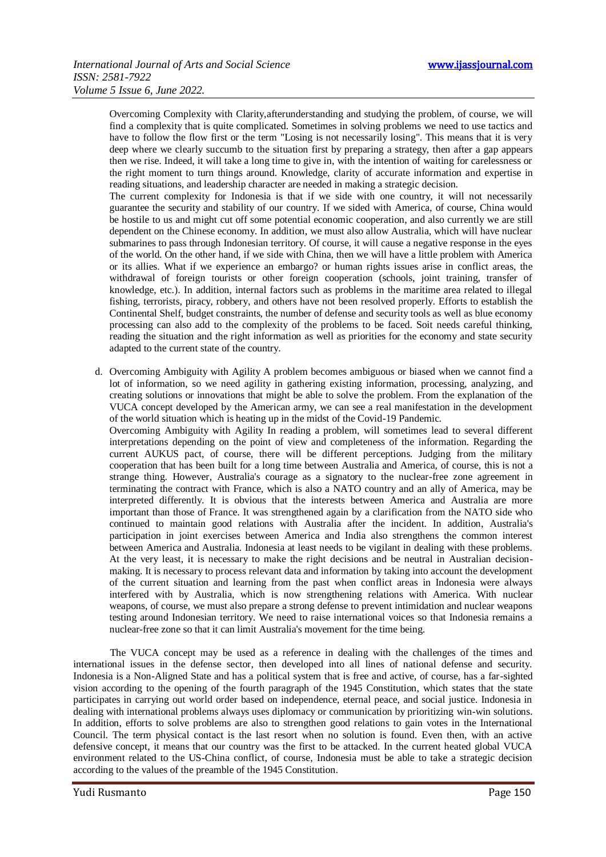Overcoming Complexity with Clarity,afterunderstanding and studying the problem, of course, we will find a complexity that is quite complicated. Sometimes in solving problems we need to use tactics and have to follow the flow first or the term "Losing is not necessarily losing". This means that it is very deep where we clearly succumb to the situation first by preparing a strategy, then after a gap appears then we rise. Indeed, it will take a long time to give in, with the intention of waiting for carelessness or the right moment to turn things around. Knowledge, clarity of accurate information and expertise in reading situations, and leadership character are needed in making a strategic decision.

The current complexity for Indonesia is that if we side with one country, it will not necessarily guarantee the security and stability of our country. If we sided with America, of course, China would be hostile to us and might cut off some potential economic cooperation, and also currently we are still dependent on the Chinese economy. In addition, we must also allow Australia, which will have nuclear submarines to pass through Indonesian territory. Of course, it will cause a negative response in the eyes of the world. On the other hand, if we side with China, then we will have a little problem with America or its allies. What if we experience an embargo? or human rights issues arise in conflict areas, the withdrawal of foreign tourists or other foreign cooperation (schools, joint training, transfer of knowledge, etc.). In addition, internal factors such as problems in the maritime area related to illegal fishing, terrorists, piracy, robbery, and others have not been resolved properly. Efforts to establish the Continental Shelf, budget constraints, the number of defense and security tools as well as blue economy processing can also add to the complexity of the problems to be faced. Soit needs careful thinking, reading the situation and the right information as well as priorities for the economy and state security adapted to the current state of the country.

d. Overcoming Ambiguity with Agility A problem becomes ambiguous or biased when we cannot find a lot of information, so we need agility in gathering existing information, processing, analyzing, and creating solutions or innovations that might be able to solve the problem. From the explanation of the VUCA concept developed by the American army, we can see a real manifestation in the development of the world situation which is heating up in the midst of the Covid-19 Pandemic.

Overcoming Ambiguity with Agility In reading a problem, will sometimes lead to several different interpretations depending on the point of view and completeness of the information. Regarding the current AUKUS pact, of course, there will be different perceptions. Judging from the military cooperation that has been built for a long time between Australia and America, of course, this is not a strange thing. However, Australia's courage as a signatory to the nuclear-free zone agreement in terminating the contract with France, which is also a NATO country and an ally of America, may be interpreted differently. It is obvious that the interests between America and Australia are more important than those of France. It was strengthened again by a clarification from the NATO side who continued to maintain good relations with Australia after the incident. In addition, Australia's participation in joint exercises between America and India also strengthens the common interest between America and Australia. Indonesia at least needs to be vigilant in dealing with these problems. At the very least, it is necessary to make the right decisions and be neutral in Australian decisionmaking. It is necessary to process relevant data and information by taking into account the development of the current situation and learning from the past when conflict areas in Indonesia were always interfered with by Australia, which is now strengthening relations with America. With nuclear weapons, of course, we must also prepare a strong defense to prevent intimidation and nuclear weapons testing around Indonesian territory. We need to raise international voices so that Indonesia remains a nuclear-free zone so that it can limit Australia's movement for the time being.

The VUCA concept may be used as a reference in dealing with the challenges of the times and international issues in the defense sector, then developed into all lines of national defense and security. Indonesia is a Non-Aligned State and has a political system that is free and active, of course, has a far-sighted vision according to the opening of the fourth paragraph of the 1945 Constitution, which states that the state participates in carrying out world order based on independence, eternal peace, and social justice. Indonesia in dealing with international problems always uses diplomacy or communication by prioritizing win-win solutions. In addition, efforts to solve problems are also to strengthen good relations to gain votes in the International Council. The term physical contact is the last resort when no solution is found. Even then, with an active defensive concept, it means that our country was the first to be attacked. In the current heated global VUCA environment related to the US-China conflict, of course, Indonesia must be able to take a strategic decision according to the values of the preamble of the 1945 Constitution.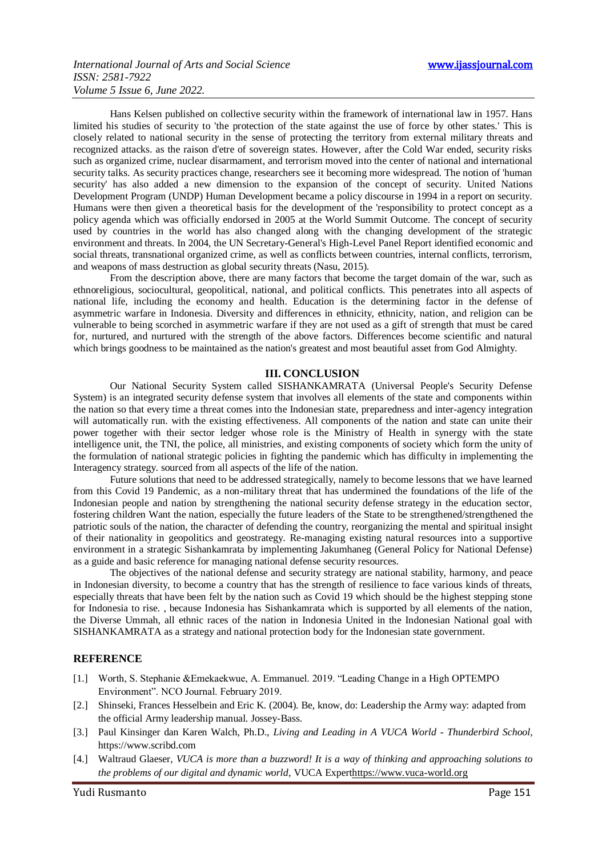Hans Kelsen published on collective security within the framework of international law in 1957. Hans limited his studies of security to 'the protection of the state against the use of force by other states.' This is closely related to national security in the sense of protecting the territory from external military threats and recognized attacks. as the raison d'etre of sovereign states. However, after the Cold War ended, security risks such as organized crime, nuclear disarmament, and terrorism moved into the center of national and international security talks. As security practices change, researchers see it becoming more widespread. The notion of 'human security' has also added a new dimension to the expansion of the concept of security. United Nations Development Program (UNDP) Human Development became a policy discourse in 1994 in a report on security. Humans were then given a theoretical basis for the development of the 'responsibility to protect concept as a policy agenda which was officially endorsed in 2005 at the World Summit Outcome. The concept of security used by countries in the world has also changed along with the changing development of the strategic environment and threats. In 2004, the UN Secretary-General's High-Level Panel Report identified economic and social threats, transnational organized crime, as well as conflicts between countries, internal conflicts, terrorism, and weapons of mass destruction as global security threats (Nasu, 2015).

From the description above, there are many factors that become the target domain of the war, such as ethnoreligious, sociocultural, geopolitical, national, and political conflicts. This penetrates into all aspects of national life, including the economy and health. Education is the determining factor in the defense of asymmetric warfare in Indonesia. Diversity and differences in ethnicity, ethnicity, nation, and religion can be vulnerable to being scorched in asymmetric warfare if they are not used as a gift of strength that must be cared for, nurtured, and nurtured with the strength of the above factors. Differences become scientific and natural which brings goodness to be maintained as the nation's greatest and most beautiful asset from God Almighty.

#### **III. CONCLUSION**

Our National Security System called SISHANKAMRATA (Universal People's Security Defense System) is an integrated security defense system that involves all elements of the state and components within the nation so that every time a threat comes into the Indonesian state, preparedness and inter-agency integration will automatically run. with the existing effectiveness. All components of the nation and state can unite their power together with their sector ledger whose role is the Ministry of Health in synergy with the state intelligence unit, the TNI, the police, all ministries, and existing components of society which form the unity of the formulation of national strategic policies in fighting the pandemic which has difficulty in implementing the Interagency strategy. sourced from all aspects of the life of the nation.

Future solutions that need to be addressed strategically, namely to become lessons that we have learned from this Covid 19 Pandemic, as a non-military threat that has undermined the foundations of the life of the Indonesian people and nation by strengthening the national security defense strategy in the education sector, fostering children Want the nation, especially the future leaders of the State to be strengthened/strengthened the patriotic souls of the nation, the character of defending the country, reorganizing the mental and spiritual insight of their nationality in geopolitics and geostrategy. Re-managing existing natural resources into a supportive environment in a strategic Sishankamrata by implementing Jakumhaneg (General Policy for National Defense) as a guide and basic reference for managing national defense security resources.

The objectives of the national defense and security strategy are national stability, harmony, and peace in Indonesian diversity, to become a country that has the strength of resilience to face various kinds of threats, especially threats that have been felt by the nation such as Covid 19 which should be the highest stepping stone for Indonesia to rise. , because Indonesia has Sishankamrata which is supported by all elements of the nation, the Diverse Ummah, all ethnic races of the nation in Indonesia United in the Indonesian National goal with SISHANKAMRATA as a strategy and national protection body for the Indonesian state government.

## **REFERENCE**

- [1.] Worth, S. Stephanie &Emekaekwue, A. Emmanuel. 2019. "Leading Change in a High OPTEMPO Environment". NCO Journal. February 2019.
- [2.] Shinseki, Frances Hesselbein and Eric K. (2004). Be, know, do: Leadership the Army way: adapted from the official Army leadership manual. Jossey-Bass.
- [3.] Paul Kinsinger dan Karen Walch, Ph.D., *Living and Leading in A VUCA World - Thunderbird School*, https://www.scribd.com
- [4.] Waltraud Glaeser, *VUCA is more than a buzzword! It is a way of thinking and approaching solutions to the problems of our digital and dynamic world*, VUCA Exper[thttps://www.vuca-world.org](https://www.vuca-world.org/)